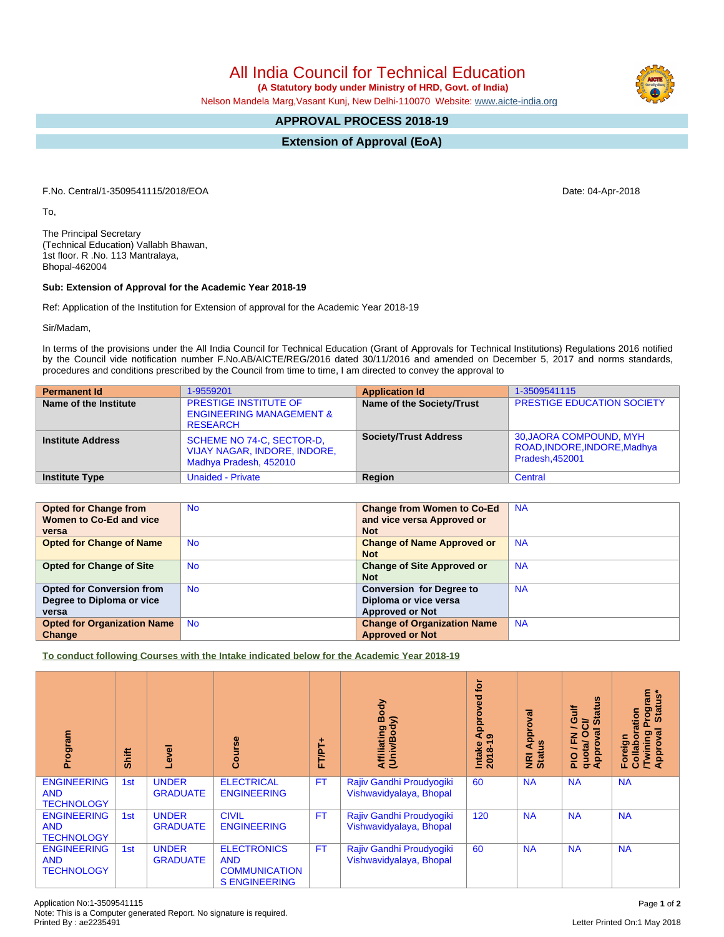All India Council for Technical Education

 **(A Statutory body under Ministry of HRD, Govt. of India)**

Nelson Mandela Marg,Vasant Kunj, New Delhi-110070 Website: [www.aicte-india.org](http://www.aicte-india.org)

## **APPROVAL PROCESS 2018-19**

**Extension of Approval (EoA)**

F.No. Central/1-3509541115/2018/EOA Date: 04-Apr-2018

To,

The Principal Secretary (Technical Education) Vallabh Bhawan, 1st floor. R .No. 113 Mantralaya, Bhopal-462004

## **Sub: Extension of Approval for the Academic Year 2018-19**

Ref: Application of the Institution for Extension of approval for the Academic Year 2018-19

Sir/Madam,

In terms of the provisions under the All India Council for Technical Education (Grant of Approvals for Technical Institutions) Regulations 2016 notified by the Council vide notification number F.No.AB/AICTE/REG/2016 dated 30/11/2016 and amended on December 5, 2017 and norms standards, procedures and conditions prescribed by the Council from time to time, I am directed to convey the approval to

| <b>Permanent Id</b>      | 1-9559201                                                                              | <b>Application Id</b>        | 1-3509541115                                                              |
|--------------------------|----------------------------------------------------------------------------------------|------------------------------|---------------------------------------------------------------------------|
| Name of the Institute    | <b>PRESTIGE INSTITUTE OF</b><br><b>ENGINEERING MANAGEMENT &amp;</b><br><b>RESEARCH</b> | Name of the Society/Trust    | <b>PRESTIGE EDUCATION SOCIETY</b>                                         |
| <b>Institute Address</b> | SCHEME NO 74-C, SECTOR-D,<br>VIJAY NAGAR, INDORE, INDORE,<br>Madhya Pradesh, 452010    | <b>Society/Trust Address</b> | 30, JAORA COMPOUND, MYH<br>ROAD, INDORE, INDORE, Madhya<br>Pradesh.452001 |
| <b>Institute Type</b>    | <b>Unaided - Private</b>                                                               | Region                       | Central                                                                   |

| <b>Opted for Change from</b>       | <b>No</b> | <b>Change from Women to Co-Ed</b>  | <b>NA</b> |
|------------------------------------|-----------|------------------------------------|-----------|
| Women to Co-Ed and vice            |           | and vice versa Approved or         |           |
| versa                              |           | <b>Not</b>                         |           |
| <b>Opted for Change of Name</b>    | <b>No</b> | <b>Change of Name Approved or</b>  | <b>NA</b> |
|                                    |           | <b>Not</b>                         |           |
| <b>Opted for Change of Site</b>    | <b>No</b> | <b>Change of Site Approved or</b>  | <b>NA</b> |
|                                    |           | <b>Not</b>                         |           |
| <b>Opted for Conversion from</b>   | <b>No</b> | <b>Conversion for Degree to</b>    | <b>NA</b> |
| Degree to Diploma or vice          |           | Diploma or vice versa              |           |
| versa                              |           | <b>Approved or Not</b>             |           |
| <b>Opted for Organization Name</b> | <b>No</b> | <b>Change of Organization Name</b> | <b>NA</b> |
| Change                             |           | <b>Approved or Not</b>             |           |

**To conduct following Courses with the Intake indicated below for the Academic Year 2018-19**

| Program                                               | Shift | <b>Level</b>                    | rse<br>යි                                                                        | FT/PT+    | Body<br>Affiliating Book<br>(Univ/Body)             | è<br>yed<br>ppro<br>ৰ<br>$\sigma$<br>Intake<br>$2018 - 1$ | Approval<br><b>Status</b><br>$\overline{g}$ | <b>Status</b><br><b>Gulf</b><br>ฮิ<br>g<br>О<br>준<br>quotal<br>Approv<br>$\frac{1}{2}$ | <b>rogram</b><br>Status*<br>Collaboration<br><b>Twining F</b><br>Approval<br>Foreign |
|-------------------------------------------------------|-------|---------------------------------|----------------------------------------------------------------------------------|-----------|-----------------------------------------------------|-----------------------------------------------------------|---------------------------------------------|----------------------------------------------------------------------------------------|--------------------------------------------------------------------------------------|
| <b>ENGINEERING</b><br><b>AND</b><br><b>TECHNOLOGY</b> | 1st   | <b>UNDER</b><br><b>GRADUATE</b> | <b>ELECTRICAL</b><br><b>ENGINEERING</b>                                          | <b>FT</b> | Rajiv Gandhi Proudyogiki<br>Vishwavidyalaya, Bhopal | 60                                                        | <b>NA</b>                                   | <b>NA</b>                                                                              | <b>NA</b>                                                                            |
| <b>ENGINEERING</b><br><b>AND</b><br><b>TECHNOLOGY</b> | 1st   | <b>UNDER</b><br><b>GRADUATE</b> | <b>CIVIL</b><br><b>ENGINEERING</b>                                               | <b>FT</b> | Rajiv Gandhi Proudyogiki<br>Vishwavidyalaya, Bhopal | 120                                                       | <b>NA</b>                                   | <b>NA</b>                                                                              | <b>NA</b>                                                                            |
| <b>ENGINEERING</b><br><b>AND</b><br><b>TECHNOLOGY</b> | 1st   | <b>UNDER</b><br><b>GRADUATE</b> | <b>ELECTRONICS</b><br><b>AND</b><br><b>COMMUNICATION</b><br><b>S ENGINEERING</b> | <b>FT</b> | Rajiv Gandhi Proudyogiki<br>Vishwavidyalaya, Bhopal | 60                                                        | <b>NA</b>                                   | <b>NA</b>                                                                              | <b>NA</b>                                                                            |